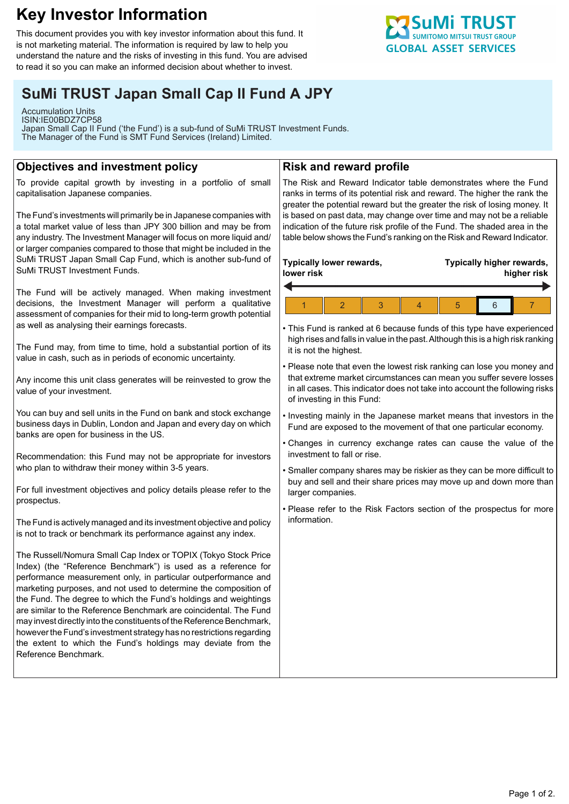# **Key Investor Information**

This document provides you with key investor information about this fund. It is not marketing material. The information is required by law to help you understand the nature and the risks of investing in this fund. You are advised to read it so you can make an informed decision about whether to invest.

# **SuMi TRUST Japan Small Cap II Fund A JPY**

Accumulation Units ISIN:IE00BDZ7CP58 Japan Small Cap II Fund ('the Fund') is a sub-fund of SuMi TRUST Investment Funds. The Manager of the Fund is SMT Fund Services (Ireland) Limited.

## **Objectives and investment policy**

To provide capital growth by investing in a portfolio of small capitalisation Japanese companies.

The Fund's investments will primarily be in Japanese companies with a total market value of less than JPY 300 billion and may be from any industry. The Investment Manager will focus on more liquid and/ or larger companies compared to those that might be included in the SuMi TRUST Japan Small Cap Fund, which is another sub-fund of SuMi TRUST Investment Funds.

The Fund will be actively managed. When making investment decisions, the Investment Manager will perform a qualitative assessment of companies for their mid to long-term growth potential as well as analysing their earnings forecasts.

The Fund may, from time to time, hold a substantial portion of its value in cash, such as in periods of economic uncertainty.

Any income this unit class generates will be reinvested to grow the value of your investment.

You can buy and sell units in the Fund on bank and stock exchange business days in Dublin, London and Japan and every day on which banks are open for business in the US.

Recommendation: this Fund may not be appropriate for investors who plan to withdraw their money within 3-5 years.

For full investment objectives and policy details please refer to the prospectus.

The Fund is actively managed and its investment objective and policy is not to track or benchmark its performance against any index.

The Russell/Nomura Small Cap Index or TOPIX (Tokyo Stock Price Index) (the "Reference Benchmark") is used as a reference for performance measurement only, in particular outperformance and marketing purposes, and not used to determine the composition of the Fund. The degree to which the Fund's holdings and weightings are similar to the Reference Benchmark are coincidental. The Fund may invest directly into the constituents of the Reference Benchmark, however the Fund's investment strategy has no restrictions regarding the extent to which the Fund's holdings may deviate from the Reference Benchmark.

## **Risk and reward profile**

The Risk and Reward Indicator table demonstrates where the Fund ranks in terms of its potential risk and reward. The higher the rank the greater the potential reward but the greater the risk of losing money. It is based on past data, may change over time and may not be a reliable indication of the future risk profile of the Fund. The shaded area in the table below shows the Fund's ranking on the Risk and Reward Indicator.

#### **Typically lower rewards, lower risk**

## **Typically higher rewards, higher risk**



• This Fund is ranked at 6 because funds of this type have experienced high rises and falls in value in the past. Although this is a high risk ranking it is not the highest.

• Please note that even the lowest risk ranking can lose you money and that extreme market circumstances can mean you suffer severe losses in all cases. This indicator does not take into account the following risks of investing in this Fund:

• Investing mainly in the Japanese market means that investors in the Fund are exposed to the movement of that one particular economy.

• Changes in currency exchange rates can cause the value of the investment to fall or rise.

• Smaller company shares may be riskier as they can be more difficult to buy and sell and their share prices may move up and down more than larger companies.

• Please refer to the Risk Factors section of the prospectus for more information.